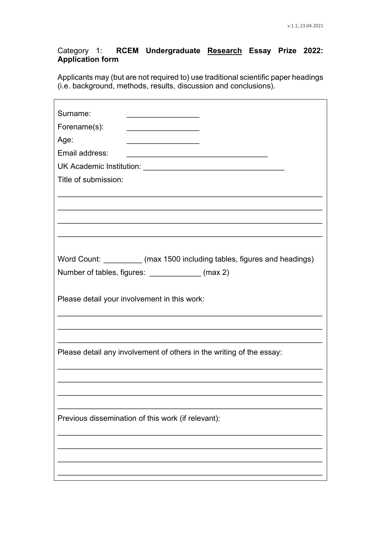## RCEM Undergraduate Research Essay Prize 2022: Category 1: **Application form**

Applicants may (but are not required to) use traditional scientific paper headings (i.e. background, methods, results, discussion and conclusions).

| Surname:                                                                                                                                      |
|-----------------------------------------------------------------------------------------------------------------------------------------------|
| Forename(s):<br><u> 1989 - Johann John Stone, mars et al. 1989 - John Stone, mars et al. 1989 - John Stone, mars et al. 1989 - John Stone</u> |
| Age:                                                                                                                                          |
| Email address:<br><u> 1980 - Johann Stoff, fransk politik (f. 1918)</u>                                                                       |
|                                                                                                                                               |
| Title of submission:                                                                                                                          |
|                                                                                                                                               |
|                                                                                                                                               |
|                                                                                                                                               |
|                                                                                                                                               |
|                                                                                                                                               |
| Word Count: _________ (max 1500 including tables, figures and headings)                                                                       |
| Number of tables, figures: _____________ (max 2)                                                                                              |
|                                                                                                                                               |
| Please detail your involvement in this work:                                                                                                  |
|                                                                                                                                               |
|                                                                                                                                               |
|                                                                                                                                               |
| Please detail any involvement of others in the writing of the essay:                                                                          |
|                                                                                                                                               |
|                                                                                                                                               |
|                                                                                                                                               |
|                                                                                                                                               |
| Previous dissemination of this work (if relevant):                                                                                            |
|                                                                                                                                               |
|                                                                                                                                               |
|                                                                                                                                               |
|                                                                                                                                               |